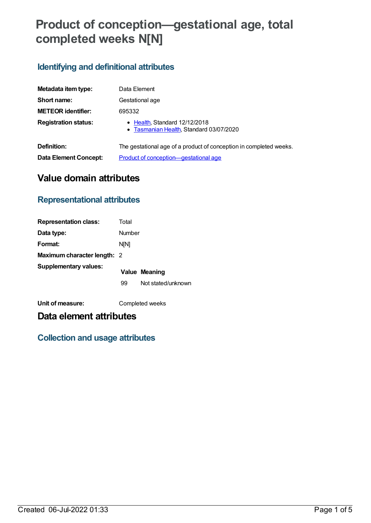# **Product of conception—gestational age, total completed weeks N[N]**

### **Identifying and definitional attributes**

| Metadata item type:         | Data Element                                                             |
|-----------------------------|--------------------------------------------------------------------------|
| Short name:                 | Gestational age                                                          |
| <b>METEOR identifier:</b>   | 695332                                                                   |
| <b>Registration status:</b> | • Health, Standard 12/12/2018<br>• Tasmanian Health, Standard 03/07/2020 |
| Definition:                 | The gestational age of a product of conception in completed weeks.       |
| Data Element Concept:       | Product of conception-gestational age                                    |

# **Value domain attributes**

### **Representational attributes**

| <b>Representation class:</b>       | Total       |                      |
|------------------------------------|-------------|----------------------|
| Data type:                         | Number      |                      |
| Format:                            | <b>N[N]</b> |                      |
| <b>Maximum character length: 2</b> |             |                      |
| <b>Supplementary values:</b>       |             | <b>Value Meaning</b> |
|                                    | 99          | Not stated/unknown   |
|                                    |             |                      |

**Unit of measure:** Completed weeks

# **Data element attributes**

### **Collection and usage attributes**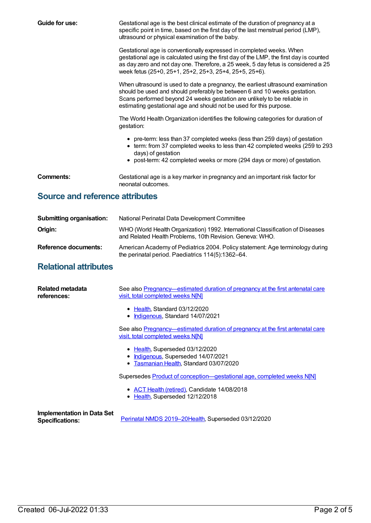| Guide for use:                  | Gestational age is the best clinical estimate of the duration of pregnancy at a<br>specific point in time, based on the first day of the last menstrual period (LMP),<br>ultrasound or physical examination of the baby.                                                                                         |
|---------------------------------|------------------------------------------------------------------------------------------------------------------------------------------------------------------------------------------------------------------------------------------------------------------------------------------------------------------|
|                                 | Gestational age is conventionally expressed in completed weeks. When<br>gestational age is calculated using the first day of the LMP, the first day is counted<br>as day zero and not day one. Therefore, a 25 week, 5 day fetus is considered a 25<br>week fetus (25+0, 25+1, 25+2, 25+3, 25+4, 25+5, 25+6).    |
|                                 | When ultrasound is used to date a pregnancy, the earliest ultrasound examination<br>should be used and should preferably be between 6 and 10 weeks gestation.<br>Scans performed beyond 24 weeks gestation are unlikely to be reliable in<br>estimating gestational age and should not be used for this purpose. |
|                                 | The World Health Organization identifies the following categories for duration of<br>gestation:                                                                                                                                                                                                                  |
|                                 | • pre-term: less than 37 completed weeks (less than 259 days) of gestation<br>• term: from 37 completed weeks to less than 42 completed weeks (259 to 293<br>days) of gestation<br>• post-term: 42 completed weeks or more (294 days or more) of gestation.                                                      |
|                                 |                                                                                                                                                                                                                                                                                                                  |
| <b>Comments:</b>                | Gestational age is a key marker in pregnancy and an important risk factor for<br>neonatal outcomes.                                                                                                                                                                                                              |
| Source and reference attributes |                                                                                                                                                                                                                                                                                                                  |
|                                 |                                                                                                                                                                                                                                                                                                                  |

| <b>Submitting organisation:</b> | National Perinatal Data Development Committee                                                                                              |
|---------------------------------|--------------------------------------------------------------------------------------------------------------------------------------------|
| Origin:                         | WHO (World Health Organization) 1992. International Classification of Diseases<br>and Related Health Problems, 10th Revision. Geneva: WHO. |
| Reference documents:            | American Academy of Pediatrics 2004. Policy statement: Age terminology during<br>the perinatal period. Paediatrics 114(5):1362-64.         |

# **Relational attributes**

| Related metadata<br>references:                             | See also Pregnancy—estimated duration of pregnancy at the first antenatal care<br>visit, total completed weeks NM           |
|-------------------------------------------------------------|-----------------------------------------------------------------------------------------------------------------------------|
|                                                             | • Health, Standard 03/12/2020<br>Indigenous, Standard 14/07/2021<br>٠                                                       |
|                                                             | See also Pregnancy—estimated duration of pregnancy at the first antenatal care<br><u>visit, total completed weeks N[N]</u>  |
|                                                             | • Health, Superseded 03/12/2020<br><b>Indigenous, Superseded 14/07/2021</b><br>٠<br>• Tasmanian Health, Standard 03/07/2020 |
|                                                             | Supersedes Product of conception-gestational age, completed weeks N[N]                                                      |
|                                                             | • ACT Health (retired), Candidate 14/08/2018<br>• Health, Superseded 12/12/2018                                             |
| <b>Implementation in Data Set</b><br><b>Specifications:</b> | Perinatal NMDS 2019-20Health, Superseded 03/12/2020                                                                         |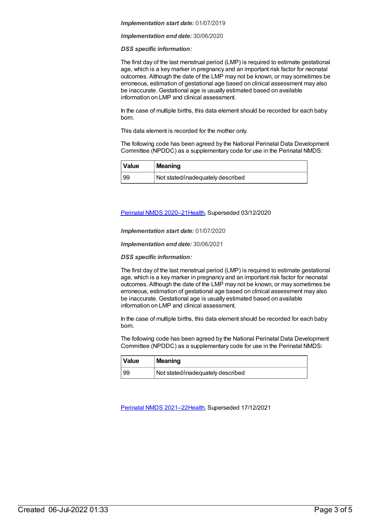#### *Implementation start date:* 01/07/2019

#### *Implementation end date:* 30/06/2020

#### *DSS specific information:*

The first day of the last menstrual period (LMP) is required to estimate gestational age, which is a key marker in pregnancy and an important risk factor for neonatal outcomes. Although the date of the LMP may not be known, or may sometimes be erroneous, estimation of gestational age based on clinical assessment may also be inaccurate. Gestational age is usually estimated based on available information on LMP and clinical assessment.

In the case of multiple births, this data element should be recorded for each baby born.

This data element is recorded for the mother only.

The following code has been agreed by the National Perinatal Data Development Committee (NPDDC) as a supplementary code for use in the Perinatal NMDS:

| <i>Nalue</i> | <b>Meaning</b>                    |
|--------------|-----------------------------------|
| 99           | Not stated/inadequately described |

#### Perinatal NMDS [2020–21](https://meteor.aihw.gov.au/content/716081)[Health](https://meteor.aihw.gov.au/RegistrationAuthority/12), Superseded 03/12/2020

*Implementation start date:* 01/07/2020

*Implementation end date:* 30/06/2021

*DSS specific information:*

The first day of the last menstrual period (LMP) is required to estimate gestational age, which is a key marker in pregnancy and an important risk factor for neonatal outcomes. Although the date of the LMP may not be known, or may sometimes be erroneous, estimation of gestational age based on clinical assessment may also be inaccurate. Gestational age is usually estimated based on available information on LMP and clinical assessment.

In the case of multiple births, this data element should be recorded for each baby born.

The following code has been agreed by the National Perinatal Data Development Committee (NPDDC) as a supplementary code for use in the Perinatal NMDS:

| ∣ Value | <b>Meaning</b>                    |
|---------|-----------------------------------|
| -99     | Not stated/inadequately described |

Perinatal NMDS [2021–22](https://meteor.aihw.gov.au/content/727291)[Health](https://meteor.aihw.gov.au/RegistrationAuthority/12), Superseded 17/12/2021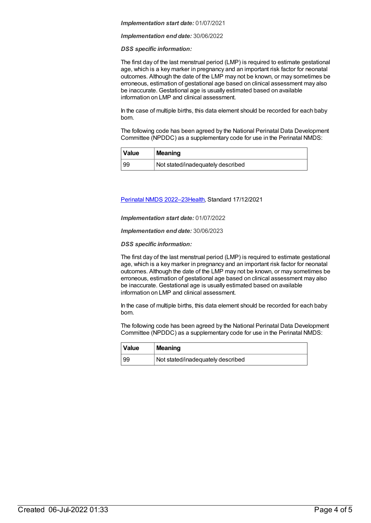#### *Implementation start date:* 01/07/2021

#### *Implementation end date:* 30/06/2022

#### *DSS specific information:*

The first day of the last menstrual period (LMP) is required to estimate gestational age, which is a key marker in pregnancy and an important risk factor for neonatal outcomes. Although the date of the LMP may not be known, or may sometimes be erroneous, estimation of gestational age based on clinical assessment may also be inaccurate. Gestational age is usually estimated based on available information on LMP and clinical assessment.

In the case of multiple births, this data element should be recorded for each baby born.

The following code has been agreed by the National Perinatal Data Development Committee (NPDDC) as a supplementary code for use in the Perinatal NMDS:

| Value | Meaning                           |
|-------|-----------------------------------|
| 99    | Not stated/inadequately described |

Perinatal NMDS [2022–23](https://meteor.aihw.gov.au/content/742052)[Health](https://meteor.aihw.gov.au/RegistrationAuthority/12), Standard 17/12/2021

*Implementation start date:* 01/07/2022

*Implementation end date:* 30/06/2023

*DSS specific information:*

The first day of the last menstrual period (LMP) is required to estimate gestational age, which is a key marker in pregnancy and an important risk factor for neonatal outcomes. Although the date of the LMP may not be known, or may sometimes be erroneous, estimation of gestational age based on clinical assessment may also be inaccurate. Gestational age is usually estimated based on available information on LMP and clinical assessment.

In the case of multiple births, this data element should be recorded for each baby born.

The following code has been agreed by the National Perinatal Data Development Committee (NPDDC) as a supplementary code for use in the Perinatal NMDS:

| <i><b>Value</b></i> | Meaning                           |
|---------------------|-----------------------------------|
| , 99                | Not stated/inadequately described |